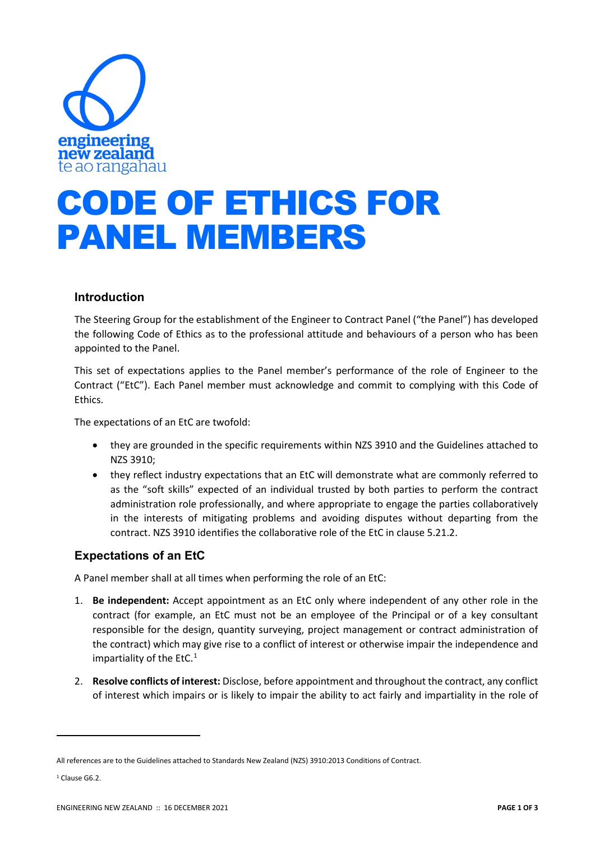

## CODE OF ETHICS FOR PANEL MEMBERS

## **Introduction**

The Steering Group for the establishment of the Engineer to Contract Panel ("the Panel") has developed the following Code of Ethics as to the professional attitude and behaviours of a person who has been appointed to the Panel.

This set of expectations applies to the Panel member's performance of the role of Engineer to the Contract ("EtC"). Each Panel member must acknowledge and commit to complying with this Code of Ethics.

The expectations of an EtC are twofold:

- they are grounded in the specific requirements within NZS 3910 and the Guidelines attached to NZS 3910;
- they reflect industry expectations that an EtC will demonstrate what are commonly referred to as the "soft skills" expected of an individual trusted by both parties to perform the contract administration role professionally, and where appropriate to engage the parties collaboratively in the interests of mitigating problems and avoiding disputes without departing from the contract. NZS 3910 identifies the collaborative role of the EtC in clause 5.21.2.

## **Expectations of an EtC**

A Panel member shall at all times when performing the role of an EtC:

- 1. **Be independent:** Accept appointment as an EtC only where independent of any other role in the contract (for example, an EtC must not be an employee of the Principal or of a key consultant responsible for the design, quantity surveying, project management or contract administration of the contract) which may give rise to a conflict of interest or otherwise impair the independence and impartiality of the EtC. $1$
- 2. **Resolve conflicts of interest:** Disclose, before appointment and throughout the contract, any conflict of interest which impairs or is likely to impair the ability to act fairly and impartiality in the role of

<span id="page-0-0"></span>All references are to the Guidelines attached to Standards New Zealand (NZS) 3910:2013 Conditions of Contract.

<sup>&</sup>lt;sup>1</sup> Clause G6.2.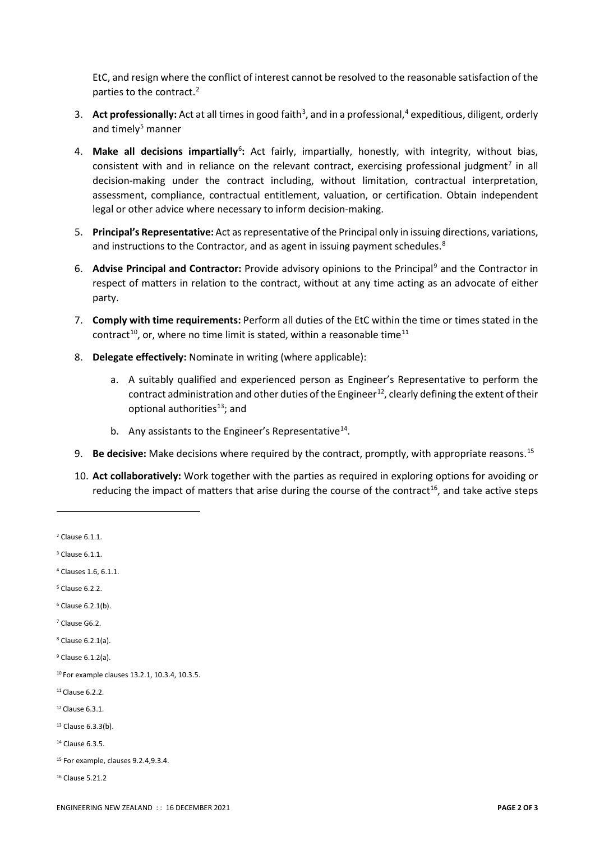EtC, and resign where the conflict of interest cannot be resolved to the reasonable satisfaction of the parties to the contract.<sup>[2](#page-1-0)</sup>

- 3. Act professionally: Act at all times in good faith<sup>3</sup>, and in a professional,<sup>4</sup> expeditious, diligent, orderly and timely $5$  manner
- 4. Make all decisions impartially<sup>[6](#page-1-4)</sup>: Act fairly, impartially, honestly, with integrity, without bias, consistent with and in reliance on the relevant contract, exercising professional judgment<sup>[7](#page-1-5)</sup> in all decision-making under the contract including, without limitation, contractual interpretation, assessment, compliance, contractual entitlement, valuation, or certification. Obtain independent legal or other advice where necessary to inform decision-making.
- 5. **Principal's Representative:** Act as representative of the Principal only in issuing directions, variations, and instructions to the Contractor, and as agent in issuing payment schedules.<sup>[8](#page-1-6)</sup>
- 6. **Advise Principal and Contractor:** Provide advisory opinions to the Principal[9](#page-1-7) and the Contractor in respect of matters in relation to the contract, without at any time acting as an advocate of either party.
- 7. **Comply with time requirements:** Perform all duties of the EtC within the time or times stated in the contract<sup>10</sup>, or, where no time limit is stated, within a reasonable time<sup>[11](#page-1-9)</sup>
- 8. **Delegate effectively:** Nominate in writing (where applicable):
	- a. A suitably qualified and experienced person as Engineer's Representative to perform the contract administration and other duties of the Engineer<sup>12</sup>, clearly defining the extent of their optional authorities<sup>13</sup>; and
	- b. Any assistants to the Engineer's Representative<sup>14</sup>.
- 9. **Be decisive:** Make decisions where required by the contract, promptly, with appropriate reasons. [15](#page-1-13)
- 10. **Act collaboratively:** Work together with the parties as required in exploring options for avoiding or reducing the impact of matters that arise during the course of the contract<sup>16</sup>, and take active steps

<span id="page-1-7"></span><sup>9</sup> Clause 6.1.2(a).

- <span id="page-1-9"></span><sup>11</sup> Clause 6.2.2.
- <span id="page-1-10"></span><sup>12</sup> Clause 6.3.1.

<span id="page-1-12"></span><sup>14</sup> Clause 6.3.5.

<span id="page-1-0"></span> $2$  Clause 6.1.1.

<span id="page-1-1"></span><sup>3</sup> Clause 6.1.1.

<span id="page-1-2"></span><sup>4</sup> Clauses 1.6, 6.1.1.

<span id="page-1-3"></span><sup>5</sup> Clause 6.2.2.

<span id="page-1-4"></span> $6$  Clause 6.2.1(b).

<span id="page-1-5"></span><sup>7</sup> Clause G6.2.

<span id="page-1-6"></span><sup>8</sup> Clause 6.2.1(a).

<span id="page-1-8"></span><sup>10</sup> For example clauses 13.2.1, 10.3.4, 10.3.5.

<span id="page-1-11"></span><sup>13</sup> Clause 6.3.3(b).

<span id="page-1-13"></span><sup>15</sup> For example, clauses 9.2.4,9.3.4.

<span id="page-1-14"></span><sup>16</sup> Clause 5.21.2